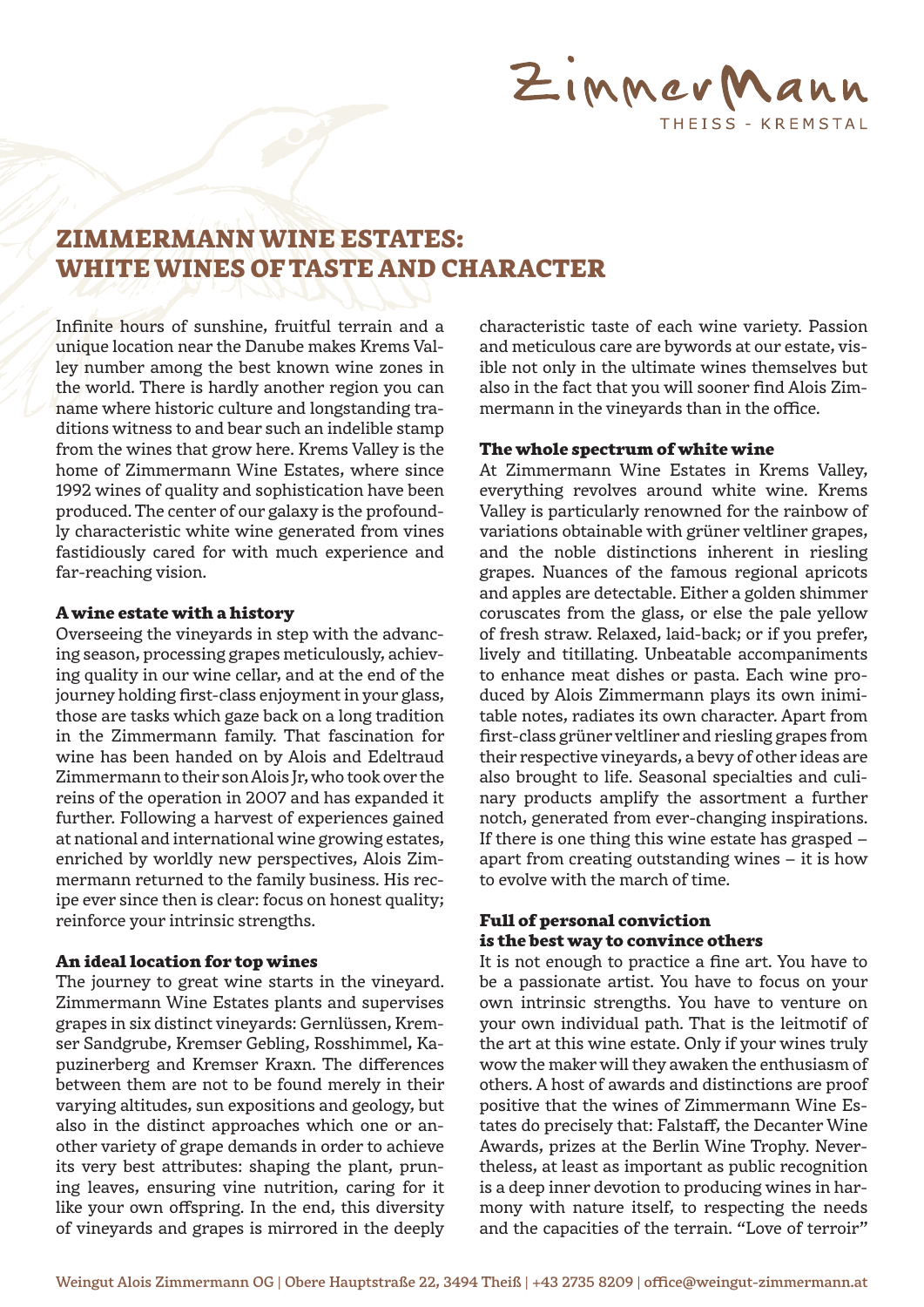

# ZIMMERMANN WINE ESTATES: WHITE WINES OF TASTE AND CHARACTER

Infinite hours of sunshine, fruitful terrain and a unique location near the Danube makes Krems Valley number among the best known wine zones in the world. There is hardly another region you can name where historic culture and longstanding traditions witness to and bear such an indelible stamp from the wines that grow here. Krems Valley is the home of Zimmermann Wine Estates, where since 1992 wines of quality and sophistication have been produced. The center of our galaxy is the profoundly characteristic white wine generated from vines fastidiously cared for with much experience and far-reaching vision.

#### A wine estate with a history

Overseeing the vineyards in step with the advancing season, processing grapes meticulously, achieving quality in our wine cellar, and at the end of the journey holding first-class enjoyment in your glass, those are tasks which gaze back on a long tradition in the Zimmermann family. That fascination for wine has been handed on by Alois and Edeltraud Zimmermann to their son Alois Jr, who took over the reins of the operation in 2007 and has expanded it further. Following a harvest of experiences gained at national and international wine growing estates, enriched by worldly new perspectives, Alois Zimmermann returned to the family business. His recipe ever since then is clear: focus on honest quality; reinforce your intrinsic strengths.

#### An ideal location for top wines

The journey to great wine starts in the vineyard. Zimmermann Wine Estates plants and supervises grapes in six distinct vineyards: Gernlüssen, Kremser Sandgrube, Kremser Gebling, Rosshimmel, Kapuzinerberg and Kremser Kraxn. The differences between them are not to be found merely in their varying altitudes, sun expositions and geology, but also in the distinct approaches which one or another variety of grape demands in order to achieve its very best attributes: shaping the plant, pruning leaves, ensuring vine nutrition, caring for it like your own offspring. In the end, this diversity of vineyards and grapes is mirrored in the deeply

characteristic taste of each wine variety. Passion and meticulous care are bywords at our estate, visible not only in the ultimate wines themselves but also in the fact that you will sooner find Alois Zimmermann in the vineyards than in the office.

## The whole spectrum of white wine

At Zimmermann Wine Estates in Krems Valley, everything revolves around white wine. Krems Valley is particularly renowned for the rainbow of variations obtainable with grüner veltliner grapes, and the noble distinctions inherent in riesling grapes. Nuances of the famous regional apricots and apples are detectable. Either a golden shimmer coruscates from the glass, or else the pale yellow of fresh straw. Relaxed, laid-back; or if you prefer, lively and titillating. Unbeatable accompaniments to enhance meat dishes or pasta. Each wine produced by Alois Zimmermann plays its own inimitable notes, radiates its own character. Apart from first-class grüner veltliner and riesling grapes from their respective vineyards, a bevy of other ideas are also brought to life. Seasonal specialties and culinary products amplify the assortment a further notch, generated from ever-changing inspirations. If there is one thing this wine estate has grasped – apart from creating outstanding wines – it is how to evolve with the march of time.

# Full of personal conviction is the best way to convince others

It is not enough to practice a fine art. You have to be a passionate artist. You have to focus on your own intrinsic strengths. You have to venture on your own individual path. That is the leitmotif of the art at this wine estate. Only if your wines truly wow the maker will they awaken the enthusiasm of others. A host of awards and distinctions are proof positive that the wines of Zimmermann Wine Estates do precisely that: Falstaff, the Decanter Wine Awards, prizes at the Berlin Wine Trophy. Nevertheless, at least as important as public recognition is a deep inner devotion to producing wines in harmony with nature itself, to respecting the needs and the capacities of the terrain. "Love of terroir"